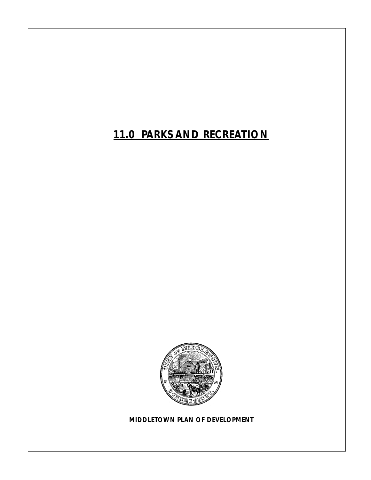*11.0 PARKS AND RECREATION*



*MIDDLETOWN PLAN OF DEVELOPMENT*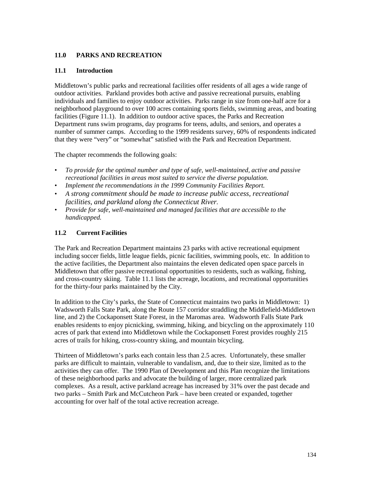## **11.0 PARKS AND RECREATION**

### **11.1 Introduction**

Middletown's public parks and recreational facilities offer residents of all ages a wide range of outdoor activities. Parkland provides both active and passive recreational pursuits, enabling individuals and families to enjoy outdoor activities. Parks range in size from one-half acre for a neighborhood playground to over 100 acres containing sports fields, swimming areas, and boating facilities (Figure 11.1). In addition to outdoor active spaces, the Parks and Recreation Department runs swim programs, day programs for teens, adults, and seniors, and operates a number of summer camps. According to the 1999 residents survey, 60% of respondents indicated that they were "very" or "somewhat" satisfied with the Park and Recreation Department.

The chapter recommends the following goals:

- *To provide for the optimal number and type of safe, well-maintained, active and passive recreational facilities in areas most suited to service the diverse population.*
- *Implement the recommendations in the 1999 Community Facilities Report.*
- *A strong commitment should be made to increase public access, recreational facilities, and parkland along the Connecticut River.*
- *Provide for safe, well-maintained and managed facilities that are accessible to the handicapped.*

## **11.2 Current Facilities**

The Park and Recreation Department maintains 23 parks with active recreational equipment including soccer fields, little league fields, picnic facilities, swimming pools, etc. In addition to the active facilities, the Department also maintains the eleven dedicated open space parcels in Middletown that offer passive recreational opportunities to residents, such as walking, fishing, and cross-country skiing. Table 11.1 lists the acreage, locations, and recreational opportunities for the thirty-four parks maintained by the City.

In addition to the City's parks, the State of Connecticut maintains two parks in Middletown: 1) Wadsworth Falls State Park, along the Route 157 corridor straddling the Middlefield-Middletown line, and 2) the Cockaponsett State Forest, in the Maromas area. Wadsworth Falls State Park enables residents to enjoy picnicking, swimming, hiking, and bicycling on the approximately 110 acres of park that extend into Middletown while the Cockaponsett Forest provides roughly 215 acres of trails for hiking, cross-country skiing, and mountain bicycling.

Thirteen of Middletown's parks each contain less than 2.5 acres. Unfortunately, these smaller parks are difficult to maintain, vulnerable to vandalism, and, due to their size, limited as to the activities they can offer. The 1990 Plan of Development and this Plan recognize the limitations of these neighborhood parks and advocate the building of larger, more centralized park complexes. As a result, active parkland acreage has increased by 31% over the past decade and two parks – Smith Park and McCutcheon Park – have been created or expanded, together accounting for over half of the total active recreation acreage.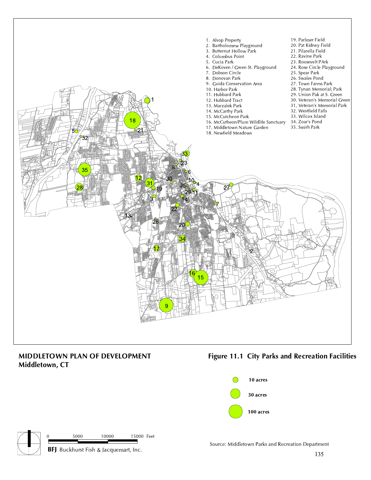

# MIDDLETOWN PLAN OF DEVELOPMENT Middletown, CT

# Figure 11.1 City Parks and Recreation Facilities





Source: Middletown Parks and Recreation Department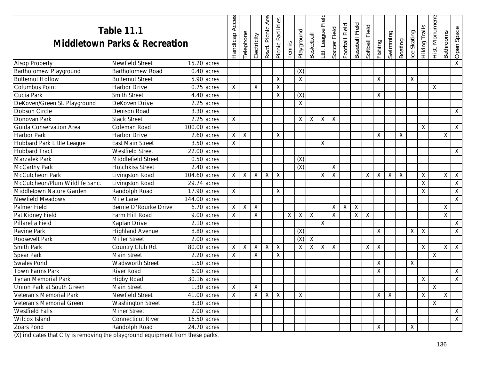| <b>Table 11.1</b><br><b>Middletown Parks &amp; Recreation</b> |                           |                         | Acces<br>Handicap | Telephone    | Electricity | Rsvd. Picnic Are | Picnic Facilities | Tennis   | Playground                | <b>Basketball</b> | Field<br>Lttl. League | Soccer Field | Football Field | Baseball Field | Field<br>Softball | Fishing | Swimming     | Boating | Ice Skating | Hiking Trails  | Hist. Monument | <b>Bathrooms</b> | Open Space              |
|---------------------------------------------------------------|---------------------------|-------------------------|-------------------|--------------|-------------|------------------|-------------------|----------|---------------------------|-------------------|-----------------------|--------------|----------------|----------------|-------------------|---------|--------------|---------|-------------|----------------|----------------|------------------|-------------------------|
| <b>Alsop Property</b>                                         | <b>Newfield Street</b>    | 15.20 acres             |                   |              |             |                  |                   |          |                           |                   |                       |              |                |                |                   |         |              |         |             |                |                |                  | $\overline{\mathsf{X}}$ |
| Bartholomew Playground                                        | <b>Bartholomew Road</b>   | $0.40$ acres            |                   |              |             |                  |                   |          | (X)                       |                   |                       |              |                |                |                   |         |              |         |             |                |                |                  |                         |
| <b>Butternut Hollow</b>                                       | <b>Butternut Street</b>   | 5.90 acres              |                   |              |             |                  | X                 |          | $\sf X$                   |                   |                       |              |                |                |                   | Χ       |              |         | X           |                |                |                  |                         |
| <b>Columbus Point</b>                                         | <b>Harbor Drive</b>       | 0.75 acres              | X                 |              | Χ           |                  | X                 |          |                           |                   |                       |              |                |                |                   |         |              |         |             |                | X              |                  |                         |
| Cucia Park                                                    | <b>Smith Street</b>       | $\overline{4.40}$ acres |                   |              |             |                  | X                 |          | (X)                       |                   |                       |              |                |                |                   | Χ       |              |         |             |                |                |                  |                         |
| DeKoven/Green St. Playground                                  | DeKoven Drive             | $2.25$ acres            |                   |              |             |                  |                   |          | $\overline{X}$            |                   |                       |              |                |                |                   |         |              |         |             |                |                |                  |                         |
| Dobson Circle                                                 | Denison Road              | $3.30$ acres            |                   |              |             |                  |                   |          |                           |                   |                       |              |                |                |                   |         |              |         |             |                |                |                  | X                       |
| Donovan Park                                                  | <b>Stack Street</b>       | 2.25 acres              | X                 |              |             |                  |                   |          | X                         | Χ                 | X                     | X            |                |                |                   |         |              |         |             |                |                |                  |                         |
| Guida Conservation Area                                       | Coleman Road              | 100.00 acres            |                   |              |             |                  |                   |          |                           |                   |                       |              |                |                |                   |         |              |         |             | Χ              |                |                  | $\sf X$                 |
| <b>Harbor Park</b>                                            | Harbor Drive              | $2.60$ acres            | X                 | $\lambda$    |             |                  | X                 |          |                           |                   |                       |              |                |                |                   | Χ       |              | Χ       |             |                |                | Χ                |                         |
| Hubbard Park Little League                                    | <b>East Main Street</b>   | $3.50$ acres            | $\overline{X}$    |              |             |                  |                   |          |                           |                   | X                     |              |                |                |                   |         |              |         |             |                |                |                  |                         |
| <b>Hubbard Tract</b>                                          | <b>Westfield Street</b>   | 22.00 acres             |                   |              |             |                  |                   |          |                           |                   |                       |              |                |                |                   |         |              |         |             |                |                |                  | X                       |
| Marzalek Park                                                 | <b>Middlefield Street</b> | $\overline{0.50}$ acres |                   |              |             |                  |                   |          | (X)                       |                   |                       |              |                |                |                   |         |              |         |             |                |                |                  |                         |
| <b>McCarthy Park</b>                                          | <b>Hotchkiss Street</b>   | 2.40 acres              |                   |              |             |                  |                   |          | (X)                       |                   |                       | X            |                |                |                   |         |              |         |             |                |                |                  |                         |
| McCutcheon Park                                               | Livingston Road           | $104.60$ acres          | $\sf X$           | $\times$     | X           | X                | X                 |          |                           |                   | X                     | X            |                |                | $\times$          | X       | Χ            | X       |             | X              |                | Χ                | $\times$                |
| McCutcheon/Plum Wildlife Sanc.                                | Livingston Road           | $29.74$ acres           |                   |              |             |                  |                   |          |                           |                   |                       |              |                |                |                   |         |              |         |             | $\overline{X}$ |                |                  | $\overline{X}$          |
| Middletown Nature Garden                                      | Randolph Road             | 17.90 acres             | X                 |              |             |                  | $\sf X$           |          |                           |                   |                       |              |                |                |                   |         |              |         |             | X              |                |                  | X                       |
| Newfield Meadows                                              | Mile Lane                 | 144.00 acres            |                   |              |             |                  |                   |          |                           |                   |                       |              |                |                |                   |         |              |         |             |                |                |                  | X                       |
| <b>Palmer Field</b>                                           | Bernie O'Rourke Drive     | 6.70 acres              | X                 | $\mathsf{X}$ | X           |                  |                   |          |                           |                   |                       | X            | X              | $\sf X$        |                   |         |              |         |             |                |                | Χ                |                         |
| Pat Kidney Field                                              | Farm Hill Road            | $\overline{9.00}$ acres | X                 |              | Χ           |                  |                   | $\times$ | X                         | Χ                 |                       | X            |                | X              | $\overline{X}$    |         |              |         |             |                |                | Χ                |                         |
| Pillarella Field                                              | Kaplan Drive              | $2.10$ acres            |                   |              |             |                  |                   |          |                           |                   | $\overline{X}$        |              |                |                |                   |         |              |         |             |                |                |                  | X                       |
| Ravine Park                                                   | <b>Highland Avenue</b>    | 8.80 acres              |                   |              |             |                  |                   |          | (X)                       |                   |                       |              |                |                |                   | Χ       |              |         | X           | X              |                |                  | X                       |
| Roosevelt Park                                                | <b>Miller Street</b>      | 2.00 acres              |                   |              |             |                  |                   |          | $\overline{(\mathsf{X})}$ | $\mathsf{X}$      |                       |              |                |                |                   |         |              |         |             |                |                |                  |                         |
| Smith Park                                                    | Country Club Rd.          | 80.00 acres             | X                 | $\times$     | Χ           | X                | $\sf X$           |          | Χ                         | Χ                 | $\mathsf{X}$          | X            |                |                | $X \mid$          | X       |              |         |             | X              |                | Χ                | $\mathsf{X}$            |
| Spear Park                                                    | Main Street               | $2.20$ acres            | X                 |              | Χ           |                  | X                 |          |                           |                   |                       |              |                |                |                   |         |              |         |             |                | Χ              |                  |                         |
| <b>Swales Pond</b>                                            | <b>Wadsworth Street</b>   | $\overline{1.50}$ acres |                   |              |             |                  |                   |          |                           |                   |                       |              |                |                |                   | $\sf X$ |              |         | $\times$    |                |                |                  |                         |
| Town Farms Park                                               | River Road                | $6.00$ acres            |                   |              |             |                  |                   |          |                           |                   |                       |              |                |                |                   | X       |              |         |             |                |                |                  | Χ                       |
| <b>Tynan Memorial Park</b>                                    | <b>Higby Road</b>         | 30.16 acres             |                   |              |             |                  |                   |          |                           |                   |                       |              |                |                |                   |         |              |         |             | Χ              |                |                  | $\overline{X}$          |
| Union Park at South Green                                     | Main Street               | 1.30 acres              | X.                |              | X           |                  |                   |          |                           |                   |                       |              |                |                |                   |         |              |         |             |                | X              |                  |                         |
| Veteran's Memorial Park                                       | Newfield Street           | 41.00 acres             | $\times$          |              | X           | X                | $\mathsf{X}$      |          | X                         |                   |                       |              |                |                |                   | X       | $\mathsf{X}$ |         |             | X              |                | X                |                         |
| Veteran's Memorial Green                                      | <b>Washington Street</b>  | 3.30 acres              |                   |              |             |                  |                   |          |                           |                   |                       |              |                |                |                   |         |              |         |             |                | $\overline{X}$ |                  |                         |
| <b>Westfield Falls</b>                                        | <b>Miner Street</b>       | 2.00 acres              |                   |              |             |                  |                   |          |                           |                   |                       |              |                |                |                   |         |              |         |             |                |                |                  | $\mathsf{X}$            |
| Wilcox Island                                                 | <b>Connecticut River</b>  | 16.50 acres             |                   |              |             |                  |                   |          |                           |                   |                       |              |                |                |                   |         |              |         |             |                |                |                  | $\overline{X}$          |
| Zoars Pond                                                    | Randolph Road             | 24.70 acres             |                   |              |             |                  |                   |          |                           |                   |                       |              |                |                |                   | X       |              |         | Χ           |                |                |                  |                         |

(X) indicates that City is removing the playground equipment from these parks.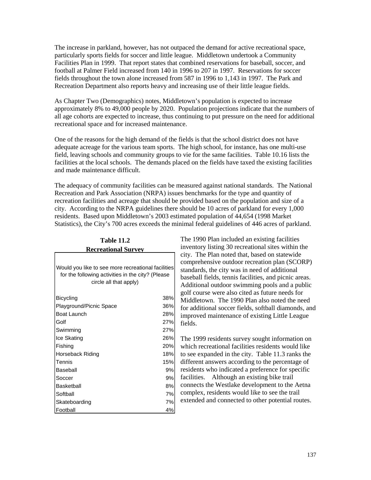The increase in parkland, however, has not outpaced the demand for active recreational space, particularly sports fields for soccer and little league. Middletown undertook a Community Facilities Plan in 1999. That report states that combined reservations for baseball, soccer, and football at Palmer Field increased from 140 in 1996 to 207 in 1997. Reservations for soccer fields throughout the town alone increased from 587 in 1996 to 1,143 in 1997. The Park and Recreation Department also reports heavy and increasing use of their little league fields.

As Chapter Two (Demographics) notes, Middletown's population is expected to increase approximately 8% to 49,000 people by 2020. Population projections indicate that the numbers of all age cohorts are expected to increase, thus continuing to put pressure on the need for additional recreational space and for increased maintenance.

One of the reasons for the high demand of the fields is that the school district does not have adequate acreage for the various team sports. The high school, for instance, has one multi-use field, leaving schools and community groups to vie for the same facilities. Table 10.16 lists the facilities at the local schools. The demands placed on the fields have taxed the existing facilities and made maintenance difficult.

The adequacy of community facilities can be measured against national standards. The National Recreation and Park Association (NRPA) issues benchmarks for the type and quantity of recreation facilities and acreage that should be provided based on the population and size of a city. According to the NRPA guidelines there should be 10 acres of parkland for every 1,000 residents. Based upon Middletown's 2003 estimated population of 44,654 (1998 Market Statistics), the City's 700 acres exceeds the minimal federal guidelines of 446 acres of parkland.

| <b>Table 11.2</b>                                                                                                                 |     |  |  |  |  |  |  |
|-----------------------------------------------------------------------------------------------------------------------------------|-----|--|--|--|--|--|--|
| <b>Recreational Survey</b>                                                                                                        |     |  |  |  |  |  |  |
| Would you like to see more recreational facilities<br>for the following activities in the city? (Please<br>circle all that apply) |     |  |  |  |  |  |  |
| <b>Bicycling</b>                                                                                                                  | 38% |  |  |  |  |  |  |
| Playground/Picnic Space                                                                                                           | 36% |  |  |  |  |  |  |
| <b>Boat Launch</b>                                                                                                                | 28% |  |  |  |  |  |  |
| Golf                                                                                                                              | 27% |  |  |  |  |  |  |
| Swimming                                                                                                                          | 27% |  |  |  |  |  |  |
| Ice Skating                                                                                                                       | 26% |  |  |  |  |  |  |
| Fishing                                                                                                                           | 20% |  |  |  |  |  |  |
| Horseback Riding                                                                                                                  | 18% |  |  |  |  |  |  |
| Tennis                                                                                                                            | 15% |  |  |  |  |  |  |
| Baseball                                                                                                                          | 9%  |  |  |  |  |  |  |
| Soccer                                                                                                                            | 9%  |  |  |  |  |  |  |
| Basketball                                                                                                                        | 8%  |  |  |  |  |  |  |
| Softball                                                                                                                          | 7%  |  |  |  |  |  |  |
| Skateboarding                                                                                                                     | 7%  |  |  |  |  |  |  |
| Football                                                                                                                          | 4%  |  |  |  |  |  |  |

The 1990 Plan included an existing facilities inventory listing 30 recreational sites within the city. The Plan noted that, based on statewide comprehensive outdoor recreation plan (SCORP) standards, the city was in need of additional baseball fields, tennis facilities, and picnic areas. Additional outdoor swimming pools and a public golf course were also cited as future needs for Middletown. The 1990 Plan also noted the need for additional soccer fields, softball diamonds, and improved maintenance of existing Little League fields.

The 1999 residents survey sought information on which recreational facilities residents would like to see expanded in the city. Table 11.3 ranks the different answers according to the percentage of residents who indicated a preference for specific facilities. Although an existing bike trail connects the Westlake development to the Aetna complex, residents would like to see the trail extended and connected to other potential routes.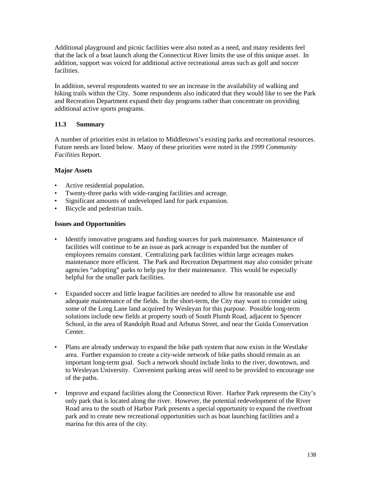Additional playground and picnic facilities were also noted as a need, and many residents feel that the lack of a boat launch along the Connecticut River limits the use of this unique asset. In addition, support was voiced for additional active recreational areas such as golf and soccer facilities.

In addition, several respondents wanted to see an increase in the availability of walking and hiking trails within the City. Some respondents also indicated that they would like to see the Park and Recreation Department expand their day programs rather than concentrate on providing additional active sports programs.

## **11.3 Summary**

A number of priorities exist in relation to Middletown's existing parks and recreational resources. Future needs are listed below. Many of these priorities were noted in the *1999 Community Facilities* Report.

### **Major Assets**

- Active residential population.
- Twenty-three parks with wide-ranging facilities and acreage.
- Significant amounts of undeveloped land for park expansion.
- Bicycle and pedestrian trails.

### **Issues and Opportunities**

- Identify innovative programs and funding sources for park maintenance. Maintenance of facilities will continue to be an issue as park acreage is expanded but the number of employees remains constant. Centralizing park facilities within large acreages makes maintenance more efficient. The Park and Recreation Department may also consider private agencies "adopting" parks to help pay for their maintenance. This would be especially helpful for the smaller park facilities.
- Expanded soccer and little league facilities are needed to allow for reasonable use and adequate maintenance of the fields. In the short-term, the City may want to consider using some of the Long Lane land acquired by Wesleyan for this purpose. Possible long-term solutions include new fields at property south of South Plumb Road, adjacent to Spencer School, in the area of Randolph Road and Arbutus Street, and near the Guida Conservation Center.
- Plans are already underway to expand the bike path system that now exists in the Westlake area. Further expansion to create a city-wide network of bike paths should remain as an important long-term goal. Such a network should include links to the river, downtown, and to Wesleyan University. Convenient parking areas will need to be provided to encourage use of the paths.
- Improve and expand facilities along the Connecticut River. Harbor Park represents the City's only park that is located along the river. However, the potential redevelopment of the River Road area to the south of Harbor Park presents a special opportunity to expand the riverfront park and to create new recreational opportunities such as boat launching facilities and a marina for this area of the city.